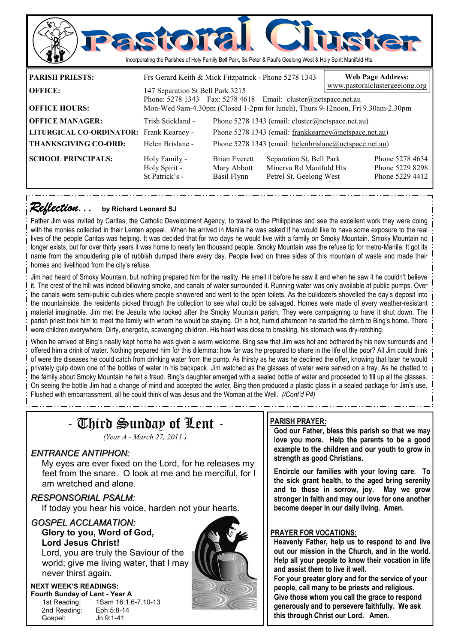

### *Reflection... Reflection...* **by Richard Leonard SJ**

Father Jim was invited by Caritas, the Catholic Development Agency, to travel to the Philippines and see the excellent work they were doing with the monies collected in their Lenten appeal. When he arrived in Manila he was asked if he would like to have some exposure to the real lives of the people Caritas was helping. It was decided that for two days he would live with a family on Smoky Mountain. Smoky Mountain no longer exists, but for over thirty years it was home to nearly ten thousand people. Smoky Mountain was the refuse tip for metro-Manila. It got its name from the smouldering pile of rubbish dumped there every day. People lived on three sides of this mountain of waste and made their homes and livelihood from the city's refuse.

Jim had heard of Smoky Mountain, but nothing prepared him for the reality. He smelt it before he saw it and when he saw it he couldn't believe it. The crest of the hill was indeed billowing smoke, and canals of water surrounded it. Running water was only available at public pumps. Over the canals were semi-public cubicles where people showered and went to the open toilets. As the bulldozers shovelled the day's deposit into the mountainside, the residents picked through the collection to see what could be salvaged. Homes were made of every weather-resistant material imaginable. Jim met the Jesuits who looked after the Smoky Mountain parish. They were campaigning to have it shut down. The parish priest took him to meet the family with whom he would be staying. On a hot, humid afternoon he started the climb to Bing's home. There were children everywhere. Dirty, energetic, scavenging children. His heart was close to breaking, his stomach was dry-retching.

When he arrived at Bing's neatly kept home he was given a warm welcome. Bing saw that Jim was hot and bothered by his new surrounds and offered him a drink of water. Nothing prepared him for this dilemma: how far was he prepared to share in the life of the poor? All Jim could think of were the diseases he could catch from drinking water from the pump. As thirsty as he was he declined the offer, knowing that later he would privately gulp down one of the bottles of water in his backpack. Jim watched as the glasses of water were served on a tray. As he chatted to the family about Smoky Mountain he felt a fraud. Bing's daughter emerged with a sealed bottle of water and proceeded to fill up all the glasses. On seeing the bottle Jim had a change of mind and accepted the water. Bing then produced a plastic glass in a sealed package for Jim's use. Flushed with embarrassment, all he could think of was Jesus and the Woman at the Well. *(/Cont'd P4)* 

### $-$  Third Sunday of Lent  $-$ *(Year A - March 27, 2011.) ENTRANCE ANTIPHON:*  My eyes are ever fixed on the Lord, for he releases my feet from the snare. O look at me and be merciful, for I am wretched and alone. *RESPONSORIAL PSALM:* If today you hear his voice, harden not your hearts. *GOSPEL ACCLAMATION:* **Glory to you, Word of God, Lord Jesus Christ!**  Lord, you are truly the Saviour of the world; give me living water, that I may never thirst again. **NEXT WEEK'S READINGS:**

**Fourth Sunday of Lent - Year A** 

 2nd Reading: Eph 5:8-14 Gospel: Jn 9:1-41

1st Reading: 1Sam 16:1,6-7,10-13

### **PARISH PRAYER:**

**God our Father, bless this parish so that we may love you more. Help the parents to be a good example to the children and our youth to grow in strength as good Christians.** 

**Encircle our families with your loving care. To the sick grant health, to the aged bring serenity and to those in sorrow, joy. May we grow stronger in faith and may our love for one another become deeper in our daily living. Amen.** 

### **PRAYER FOR VOCATIONS:**

**Heavenly Father, help us to respond to and live out our mission in the Church, and in the world. Help all your people to know their vocation in life and assist them to live it well.** 

**For your greater glory and for the service of your people, call many to be priests and religious. Give those whom you call the grace to respond generously and to persevere faithfully. We ask this through Christ our Lord. Amen.**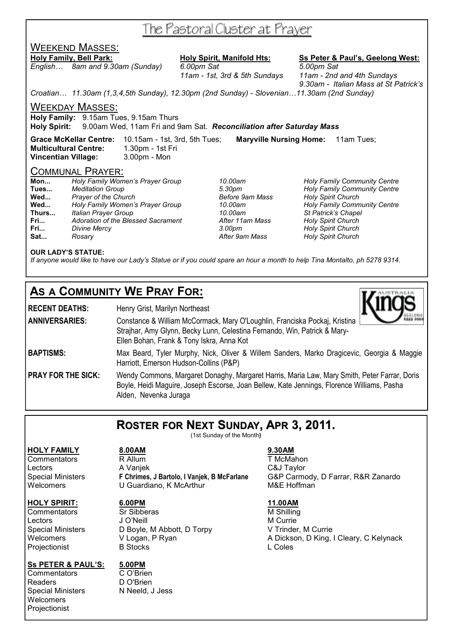## The Pastoral Cluster at Prayer

## WEEKEND MASSES:

*English… 8am and 9.30am (Sunday) 6.00pm Sat 5.00pm Sat 11am - 1st, 3rd & 5th Sundays 11am - 2nd and 4th Sundays* 

## **Holy Family, Bell Park: Holy Spirit, Manifold Hts: Ss Peter & Paul's, Geelong West:**

 *9.30am - Italian Mass at St Patrick's* 

*Croatian… 11.30am (1,3,4,5th Sunday), 12.30pm (2nd Sunday) - Slovenian…11.30am (2nd Sunday)* 

### WEEKDAY MASSES:

**Holy Family:** 9.15am Tues, 9.15am Thurs

**Holy Spirit:** 9.00am Wed, 11am Fri and 9am Sat. *Reconciliation after Saturday Mass* 

**Grace McKellar Centre:** 10.15am - 1st, 3rd, 5th Tues; **Maryville Nursing Home:** 11am Tues; **Multicultural Centre:** 1.30pm - 1st Fri **Vincentian Village:** 3.00pm - Mon

### COMMUNAL PRAYER:

| Mon   | Holy Family Women's Prayer Group   | 10.00am         | <b>Holy Family Community Centre</b> |
|-------|------------------------------------|-----------------|-------------------------------------|
| Tues  | <b>Meditation Group</b>            | 5.30pm          | <b>Holy Family Community Centre</b> |
| Wed   | Prayer of the Church               | Before 9am Mass | <b>Holy Spirit Church</b>           |
| Wed   | Holy Family Women's Prayer Group   | 10.00am         | <b>Holy Family Community Centre</b> |
| Thurs | <b>Italian Prayer Group</b>        | 10.00am         | St Patrick's Chapel                 |
| Fri   | Adoration of the Blessed Sacrament | After 11am Mass | <b>Holy Spirit Church</b>           |
| Fri   | Divine Mercy                       | 3.00pm          | <b>Holy Spirit Church</b>           |
| Sat   | Rosary                             | After 9am Mass  | <b>Holy Spirit Church</b>           |

### **OUR LADY'S STATUE:**

*If anyone would like to have our Lady's Statue or if you could spare an hour a month to help Tina Montalto, ph 5278 9314.* 

## **AS A COMMUNITY WE PRAY FOR:**

**RECENT DEATHS:** Henry Grist, Marilyn Northeast

**ANNIVERSARIES:** Constance & William McCormack, Mary O'Loughlin, Franciska Pockaj, Kristina Strajhar, Amy Glynn, Becky Lunn, Celestina Fernando, Win, Patrick & Mary-Ellen Bohan, Frank & Tony Iskra, Anna Kot

- **BAPTISMS:** Max Beard, Tyler Murphy, Nick, Oliver & Willem Sanders, Marko Dragicevic, Georgia & Maggie Harriott, Emerson Hudson-Collins (P&P)
- **PRAY FOR THE SICK:** Wendy Commons, Margaret Donaghy, Margaret Harris, Maria Law, Mary Smith, Peter Farrar, Doris Boyle, Heidi Maguire, Joseph Escorse, Joan Bellew, Kate Jennings, Florence Williams, Pasha Alden, Nevenka Juraga

## **ROSTER FOR NEXT SUNDAY, APR 3, 2011.**

(1st Sunday of the Month**)** 

### **HOLY FAMILY 8.00AM 9.30AM**

### **HOLY SPIRIT: 6.00PM 11.00AM**

### **Ss PETER & PAUL'S: 5.00PM**

Commentators C O'Brien Readers D O'Brien Special Ministers N Neeld, J Jess **Welcomers** Projectionist

Commentators R Allum T McMahon Lectors A Vanjek C&J Taylor Special Ministers **F Chrimes, J Bartolo, I Vanjek, B McFarlane** G&P Carmody, D Farrar, R&R Zanardo Welcomers **U Guardiano, K McArthur** M&E Hoffman

Commentators Sr Sibberas M Shilling Lectors J O'Neill M Currie Special Ministers **D** Boyle, M Abbott, D Torpy **V** Trinder, M Currie Projectionist B Stocks L Coles

Welcomers **V Logan, P Ryan A Dickson, D King, I Cleary, C Kelynack** A Dickson, D King, I Cleary, C Kelynack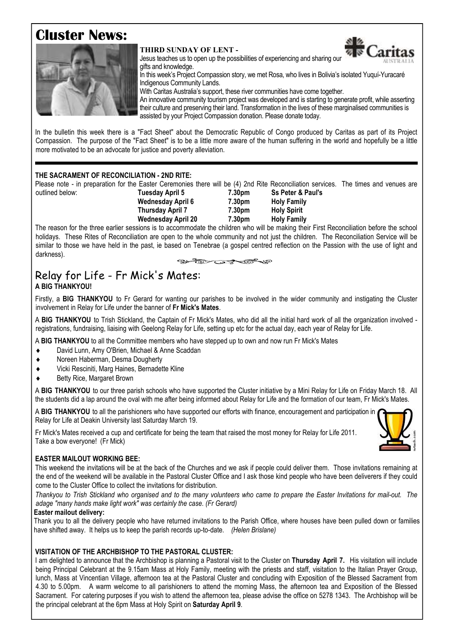## **Cluster News:**



### **THIRD SUNDAY OF LENT -**



Jesus teaches us to open up the possibilities of experiencing and sharing our gifts and knowledge.

In this week's Project Compassion story, we met Rosa, who lives in Bolivia's isolated Yuquí-Yuracaré Indigenous Community Lands.

With Caritas Australia's support, these river communities have come together.

An innovative community tourism project was developed and is starting to generate profit, while asserting their culture and preserving their land. Transformation in the lives of these marginalised communities is assisted by your Project Compassion donation. Please donate today.

In the bulletin this week there is a "Fact Sheet" about the Democratic Republic of Congo produced by Caritas as part of its Project Compassion. The purpose of the "Fact Sheet" is to be a little more aware of the human suffering in the world and hopefully be a little more motivated to be an advocate for justice and poverty alleviation.

### **THE SACRAMENT OF RECONCILIATION - 2ND RITE:**

Please note - in preparation for the Easter Ceremonies there will be (4) 2nd Rite Reconciliation services. The times and venues are outlined below:

| outlined below: | <b>Tuesday April 5</b>    | 7.30pm | <b>Ss Peter &amp; Paul's</b> |  |
|-----------------|---------------------------|--------|------------------------------|--|
|                 | Wednesday April 6         | 7.30pm | <b>Holy Family</b>           |  |
|                 | <b>Thursday April 7</b>   | 7.30pm | <b>Holy Spirit</b>           |  |
|                 | <b>Wednesday April 20</b> | 7.30pm | <b>Holy Family</b>           |  |
| --              |                           |        |                              |  |

The reason for the three earlier sessions is to accommodate the children who will be making their First Reconciliation before the school holidays. These Rites of Reconciliation are open to the whole community and not just the children. The Reconciliation Service will be similar to those we have held in the past, ie based on Tenebrae (a gospel centred reflection on the Passion with the use of light and darkness).

to an one

## Relay for Life - Fr Mick's Mates: **A BIG THANKYOU!**

Firstly, a **BIG THANKYOU** to Fr Gerard for wanting our parishes to be involved in the wider community and instigating the Cluster involvement in Relay for Life under the banner of **Fr Mick's Mates**.

A **BIG THANKYOU** to Trish Stickland, the Captain of Fr Mick's Mates, who did all the initial hard work of all the organization involved registrations, fundraising, liaising with Geelong Relay for Life, setting up etc for the actual day, each year of Relay for Life.

A **BIG THANKYOU** to all the Committee members who have stepped up to own and now run Fr Mick's Mates

- David Lunn, Amy O'Brien, Michael & Anne Scaddan
- ♦ Noreen Haberman, Desma Dougherty
- ♦ Vicki Resciniti, Marg Haines, Bernadette Kline
- ♦ Betty Rice, Margaret Brown

A **BIG THANKYOU** to our three parish schools who have supported the Cluster initiative by a Mini Relay for Life on Friday March 18. All the students did a lap around the oval with me after being informed about Relay for Life and the formation of our team, Fr Mick's Mates.

A **BIG THANKYOU** to all the parishioners who have supported our efforts with finance, encouragement and participation in Relay for Life at Deakin University last Saturday March 19.

Fr Mick's Mates received a cup and certificate for being the team that raised the most money for Relay for Life 2011. Take a bow everyone! (Fr Mick)



### **EASTER MAILOUT WORKING BEE:**

This weekend the invitations will be at the back of the Churches and we ask if people could deliver them. Those invitations remaining at the end of the weekend will be available in the Pastoral Cluster Office and I ask those kind people who have been deliverers if they could come to the Cluster Office to collect the invitations for distribution.

*Thankyou to Trish Stickland who organised and to the many volunteers who came to prepare the Easter Invitations for mail-out. The adage "many hands make light work" was certainly the case. (Fr Gerard)* 

### **Easter mailout delivery:**

Thank you to all the delivery people who have returned invitations to the Parish Office, where houses have been pulled down or families have shifted away. It helps us to keep the parish records up-to-date. *(Helen Brislane)*

### **VISITATION OF THE ARCHBISHOP TO THE PASTORAL CLUSTER:**

I am delighted to announce that the Archbishop is planning a Pastoral visit to the Cluster on **Thursday April 7.** His visitation will include being Principal Celebrant at the 9.15am Mass at Holy Family, meeting with the priests and staff, visitation to the Italian Prayer Group, lunch, Mass at Vincentian Village, afternoon tea at the Pastoral Cluster and concluding with Exposition of the Blessed Sacrament from 4.30 to 5.00pm. A warm welcome to all parishioners to attend the morning Mass, the afternoon tea and Exposition of the Blessed Sacrament. For catering purposes if you wish to attend the afternoon tea, please advise the office on 5278 1343. The Archbishop will be the principal celebrant at the 6pm Mass at Holy Spirit on **Saturday April 9**.